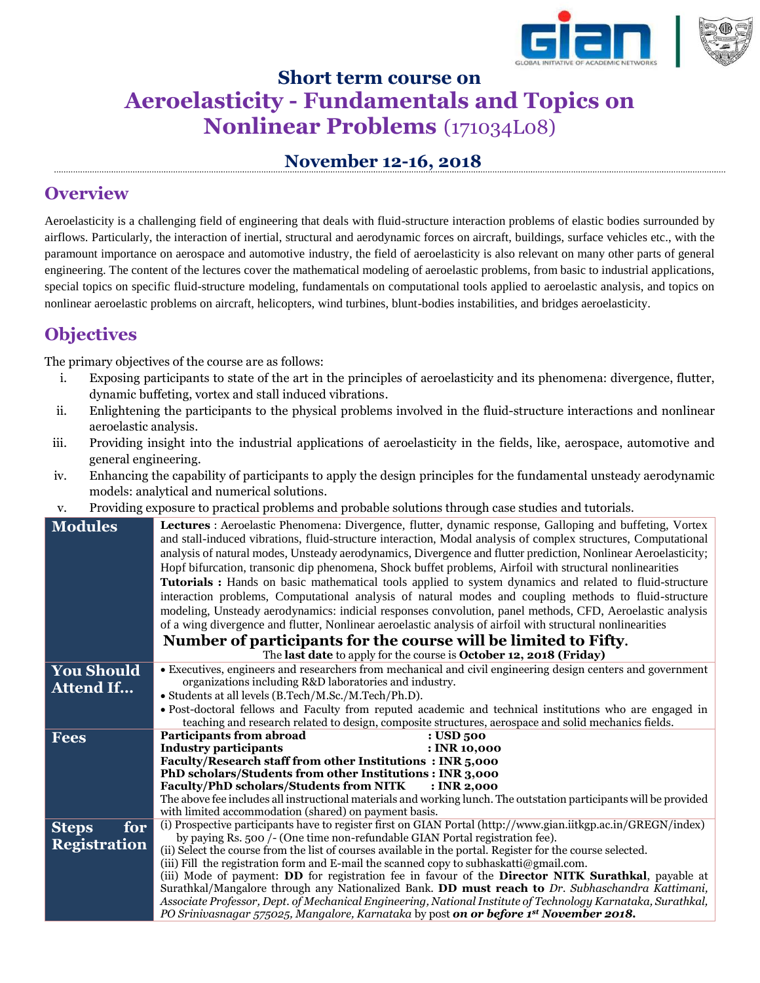

# **Short term course on Aeroelasticity - Fundamentals and Topics on Nonlinear Problems** (171034L08)

### **November 12-16, 2018**

### **Overview**

Aeroelasticity is a challenging field of engineering that deals with fluid-structure interaction problems of elastic bodies surrounded by airflows. Particularly, the interaction of inertial, structural and aerodynamic forces on aircraft, buildings, surface vehicles etc., with the paramount importance on aerospace and automotive industry, the field of aeroelasticity is also relevant on many other parts of general engineering. The content of the lectures cover the mathematical modeling of aeroelastic problems, from basic to industrial applications, special topics on specific fluid-structure modeling, fundamentals on computational tools applied to aeroelastic analysis, and topics on nonlinear aeroelastic problems on aircraft, helicopters, wind turbines, blunt-bodies instabilities, and bridges aeroelasticity.

## **Objectives**

The primary objectives of the course are as follows:

- i. Exposing participants to state of the art in the principles of aeroelasticity and its phenomena: divergence, flutter, dynamic buffeting, vortex and stall induced vibrations.
- ii. Enlightening the participants to the physical problems involved in the fluid-structure interactions and nonlinear aeroelastic analysis.
- iii. Providing insight into the industrial applications of aeroelasticity in the fields, like, aerospace, automotive and general engineering.
- iv. Enhancing the capability of participants to apply the design principles for the fundamental unsteady aerodynamic models: analytical and numerical solutions.
- v. Providing exposure to practical problems and probable solutions through case studies and tutorials.

| <b>Modules</b>      | Lectures : Aeroelastic Phenomena: Divergence, flutter, dynamic response, Galloping and buffeting, Vortex<br>and stall-induced vibrations, fluid-structure interaction, Modal analysis of complex structures, Computational<br>analysis of natural modes, Unsteady aerodynamics, Divergence and flutter prediction, Nonlinear Aeroelasticity;<br>Hopf bifurcation, transonic dip phenomena, Shock buffet problems, Airfoil with structural nonlinearities<br>Tutorials : Hands on basic mathematical tools applied to system dynamics and related to fluid-structure<br>interaction problems, Computational analysis of natural modes and coupling methods to fluid-structure<br>modeling, Unsteady aerodynamics: indicial responses convolution, panel methods, CFD, Aeroelastic analysis<br>of a wing divergence and flutter, Nonlinear aeroelastic analysis of airfoil with structural nonlinearities |
|---------------------|---------------------------------------------------------------------------------------------------------------------------------------------------------------------------------------------------------------------------------------------------------------------------------------------------------------------------------------------------------------------------------------------------------------------------------------------------------------------------------------------------------------------------------------------------------------------------------------------------------------------------------------------------------------------------------------------------------------------------------------------------------------------------------------------------------------------------------------------------------------------------------------------------------|
|                     | Number of participants for the course will be limited to Fifty.                                                                                                                                                                                                                                                                                                                                                                                                                                                                                                                                                                                                                                                                                                                                                                                                                                         |
|                     | The last date to apply for the course is October 12, 2018 (Friday)                                                                                                                                                                                                                                                                                                                                                                                                                                                                                                                                                                                                                                                                                                                                                                                                                                      |
| <b>You Should</b>   | • Executives, engineers and researchers from mechanical and civil engineering design centers and government                                                                                                                                                                                                                                                                                                                                                                                                                                                                                                                                                                                                                                                                                                                                                                                             |
| <b>Attend If</b>    | organizations including R&D laboratories and industry.                                                                                                                                                                                                                                                                                                                                                                                                                                                                                                                                                                                                                                                                                                                                                                                                                                                  |
|                     | • Students at all levels (B.Tech/M.Sc./M.Tech/Ph.D).                                                                                                                                                                                                                                                                                                                                                                                                                                                                                                                                                                                                                                                                                                                                                                                                                                                    |
|                     | · Post-doctoral fellows and Faculty from reputed academic and technical institutions who are engaged in<br>teaching and research related to design, composite structures, aerospace and solid mechanics fields.                                                                                                                                                                                                                                                                                                                                                                                                                                                                                                                                                                                                                                                                                         |
| <b>Fees</b>         | <b>Participants from abroad</b><br>: USD 500                                                                                                                                                                                                                                                                                                                                                                                                                                                                                                                                                                                                                                                                                                                                                                                                                                                            |
|                     | Industry participants<br>: INR 10,000                                                                                                                                                                                                                                                                                                                                                                                                                                                                                                                                                                                                                                                                                                                                                                                                                                                                   |
|                     | Faculty/Research staff from other Institutions: INR 5,000                                                                                                                                                                                                                                                                                                                                                                                                                                                                                                                                                                                                                                                                                                                                                                                                                                               |
|                     | PhD scholars/Students from other Institutions : INR 3,000                                                                                                                                                                                                                                                                                                                                                                                                                                                                                                                                                                                                                                                                                                                                                                                                                                               |
|                     | Faculty/PhD scholars/Students from NITK<br>: INR 2,000                                                                                                                                                                                                                                                                                                                                                                                                                                                                                                                                                                                                                                                                                                                                                                                                                                                  |
|                     | The above fee includes all instructional materials and working lunch. The outstation participants will be provided                                                                                                                                                                                                                                                                                                                                                                                                                                                                                                                                                                                                                                                                                                                                                                                      |
|                     | with limited accommodation (shared) on payment basis.                                                                                                                                                                                                                                                                                                                                                                                                                                                                                                                                                                                                                                                                                                                                                                                                                                                   |
| for<br><b>Steps</b> | (i) Prospective participants have to register first on GIAN Portal (http://www.gian.iitkgp.ac.in/GREGN/index)                                                                                                                                                                                                                                                                                                                                                                                                                                                                                                                                                                                                                                                                                                                                                                                           |
|                     | by paying Rs. 500 /- (One time non-refundable GIAN Portal registration fee).                                                                                                                                                                                                                                                                                                                                                                                                                                                                                                                                                                                                                                                                                                                                                                                                                            |
| <b>Registration</b> | (ii) Select the course from the list of courses available in the portal. Register for the course selected.                                                                                                                                                                                                                                                                                                                                                                                                                                                                                                                                                                                                                                                                                                                                                                                              |
|                     | (iii) Fill the registration form and E-mail the scanned copy to subhaskatti@gmail.com.                                                                                                                                                                                                                                                                                                                                                                                                                                                                                                                                                                                                                                                                                                                                                                                                                  |
|                     | (iii) Mode of payment: DD for registration fee in favour of the Director NITK Surathkal, payable at                                                                                                                                                                                                                                                                                                                                                                                                                                                                                                                                                                                                                                                                                                                                                                                                     |
|                     | Surathkal/Mangalore through any Nationalized Bank. DD must reach to Dr. Subhaschandra Kattimani,                                                                                                                                                                                                                                                                                                                                                                                                                                                                                                                                                                                                                                                                                                                                                                                                        |
|                     | Associate Professor, Dept. of Mechanical Engineering, National Institute of Technology Karnataka, Surathkal,                                                                                                                                                                                                                                                                                                                                                                                                                                                                                                                                                                                                                                                                                                                                                                                            |
|                     | PO Srinivasnagar 575025, Mangalore, Karnataka by post on or before 1st November 2018.                                                                                                                                                                                                                                                                                                                                                                                                                                                                                                                                                                                                                                                                                                                                                                                                                   |
|                     |                                                                                                                                                                                                                                                                                                                                                                                                                                                                                                                                                                                                                                                                                                                                                                                                                                                                                                         |